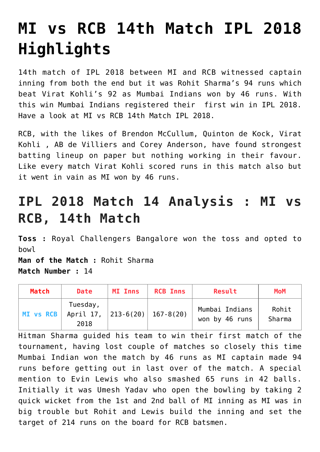## **[MI vs RCB 14th Match IPL 2018](https://www.sportstakis.com/mi-vs-rcb-14th-match-ipl-2018-highlights/) [Highlights](https://www.sportstakis.com/mi-vs-rcb-14th-match-ipl-2018-highlights/)**

14th match of IPL 2018 between MI and RCB witnessed captain inning from both the end but it was Rohit Sharma's 94 runs which beat Virat Kohli's 92 as Mumbai Indians won by 46 runs. With this win Mumbai Indians registered their first win in IPL 2018. Have a look at MI vs RCB 14th Match IPL 2018.

RCB, with the likes of Brendon McCullum, Quinton de Kock, Virat Kohli , AB de Villiers and Corey Anderson, have found strongest batting lineup on paper but nothing working in their favour. Like every match Virat Kohli scored runs in this match also but it went in vain as MI won by 46 runs.

## **IPL 2018 Match 14 Analysis : MI vs RCB, 14th Match**

**Toss :** Royal Challengers Bangalore won the toss and opted to bowl

**Man of the Match :** Rohit Sharma **Match Number :** 14

| Match     | <b>Date</b>                                           | <b>MI Inns</b> | <b>RCB Inns</b> | Result                           | <b>MoM</b>             |
|-----------|-------------------------------------------------------|----------------|-----------------|----------------------------------|------------------------|
| MI vs RCB | Tuesday,<br>April 17, $ 213-6(20)  167-8(20)$<br>2018 |                |                 | Mumbai Indians<br>won by 46 runs | Rohit<br><b>Sharma</b> |

Hitman Sharma guided his team to win their first match of the tournament, having lost couple of matches so closely this time Mumbai Indian won the match by 46 runs as MI captain made 94 runs before getting out in last over of the match. A special mention to Evin Lewis who also smashed 65 runs in 42 balls. Initially it was Umesh Yadav who open the bowling by taking 2 quick wicket from the 1st and 2nd ball of MI inning as MI was in big trouble but Rohit and Lewis build the inning and set the target of 214 runs on the board for RCB batsmen.